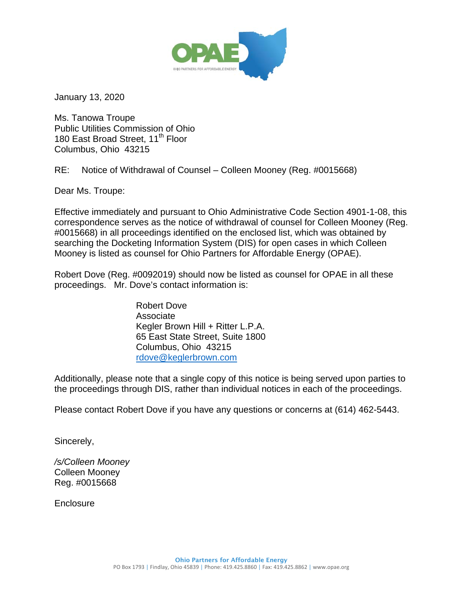

January 13, 2020

Ms. Tanowa Troupe Public Utilities Commission of Ohio 180 East Broad Street, 11<sup>th</sup> Floor Columbus, Ohio 43215

RE: Notice of Withdrawal of Counsel – Colleen Mooney (Reg. #0015668)

Dear Ms. Troupe:

Effective immediately and pursuant to Ohio Administrative Code Section 4901-1-08, this correspondence serves as the notice of withdrawal of counsel for Colleen Mooney (Reg. #0015668) in all proceedings identified on the enclosed list, which was obtained by searching the Docketing Information System (DIS) for open cases in which Colleen Mooney is listed as counsel for Ohio Partners for Affordable Energy (OPAE).

Robert Dove (Reg. #0092019) should now be listed as counsel for OPAE in all these proceedings. Mr. Dove's contact information is:

> Robert Dove Associate Kegler Brown Hill + Ritter L.P.A. 65 East State Street, Suite 1800 Columbus, Ohio 43215 [rdove@keglerbrown.com](mailto:rdove@keglerbrown.com)

Additionally, please note that a single copy of this notice is being served upon parties to the proceedings through DIS, rather than individual notices in each of the proceedings.

Please contact Robert Dove if you have any questions or concerns at (614) 462-5443.

Sincerely,

*/s/Colleen Mooney*  Colleen Mooney Reg. #0015668

**Enclosure**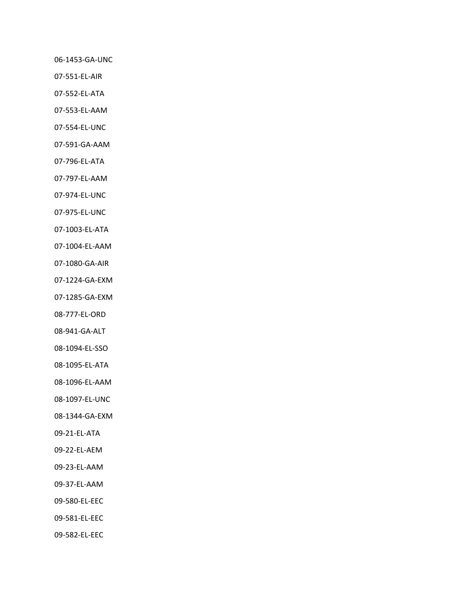‐1453‐GA‐UNC

- ‐551‐EL‐AIR
- ‐552‐EL‐ATA
- ‐553‐EL‐AAM
- ‐554‐EL‐UNC
- ‐591‐GA‐AAM
- ‐796‐EL‐ATA
- ‐797‐EL‐AAM
- ‐974‐EL‐UNC
- ‐975‐EL‐UNC
- ‐1003‐EL‐ATA
- ‐1004‐EL‐AAM
- ‐1080‐GA‐AIR
- ‐1224‐GA‐EXM
- ‐1285‐GA‐EXM
- ‐777‐EL‐ORD
- ‐941‐GA‐ALT
- ‐1094‐EL‐SSO
- ‐1095‐EL‐ATA
- ‐1096‐EL‐AAM
- ‐1097‐EL‐UNC
- ‐1344‐GA‐EXM
- ‐21‐EL‐ATA
- ‐22‐EL‐AEM
- ‐23‐EL‐AAM
- ‐37‐EL‐AAM
- ‐580‐EL‐EEC
- ‐581‐EL‐EEC
- ‐582‐EL‐EEC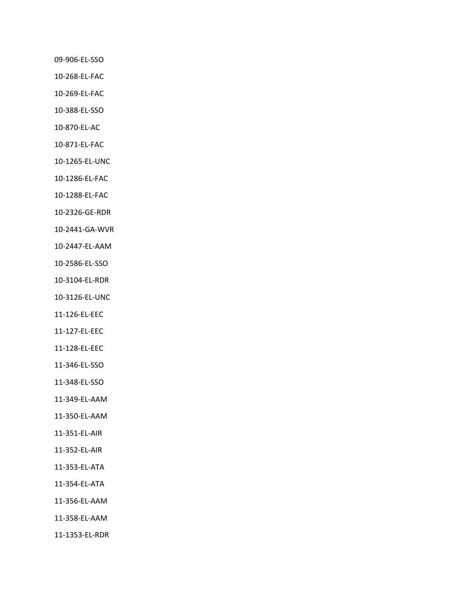‐906‐EL‐SSO

- ‐268‐EL‐FAC
- ‐269‐EL‐FAC
- ‐388‐EL‐SSO
- ‐870‐EL‐AC
- ‐871‐EL‐FAC
- ‐1265‐EL‐UNC
- ‐1286‐EL‐FAC
- ‐1288‐EL‐FAC
- ‐2326‐GE‐RDR
- ‐2441‐GA‐WVR
- ‐2447‐EL‐AAM
- ‐2586‐EL‐SSO
- ‐3104‐EL‐RDR
- ‐3126‐EL‐UNC
- ‐126‐EL‐EEC
- ‐127‐EL‐EEC
- ‐128‐EL‐EEC
- ‐346‐EL‐SSO
- ‐348‐EL‐SSO
- ‐349‐EL‐AAM
- ‐350‐EL‐AAM
- ‐351‐EL‐AIR
- ‐352‐EL‐AIR
- ‐353‐EL‐ATA
- ‐354‐EL‐ATA
- ‐356‐EL‐AAM
- ‐358‐EL‐AAM
- ‐1353‐EL‐RDR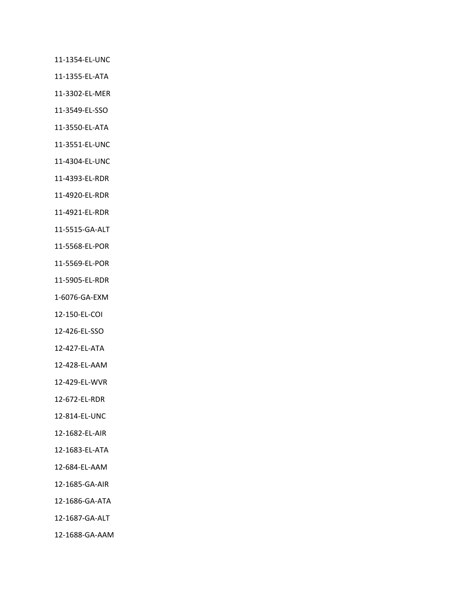‐1354‐EL‐UNC

‐1355‐EL‐ATA

‐3302‐EL‐MER

‐3549‐EL‐SSO

‐3550‐EL‐ATA

‐3551‐EL‐UNC

‐4304‐EL‐UNC

‐4393‐EL‐RDR

‐4920‐EL‐RDR

‐4921‐EL‐RDR

‐5515‐GA‐ALT

‐5568‐EL‐POR

‐5569‐EL‐POR

‐5905‐EL‐RDR

‐6076‐GA‐EXM

‐150‐EL‐COI

‐426‐EL‐SSO

‐427‐EL‐ATA

‐428‐EL‐AAM

‐429‐EL‐WVR

‐672‐EL‐RDR

‐814‐EL‐UNC

‐1682‐EL‐AIR

‐1683‐EL‐ATA

‐684‐EL‐AAM

‐1685‐GA‐AIR

‐1686‐GA‐ATA

‐1687‐GA‐ALT

‐1688‐GA‐AAM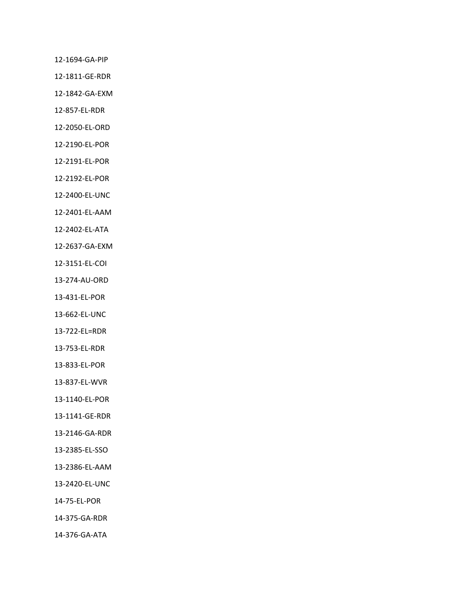‐1694‐GA‐PIP

‐1811‐GE‐RDR

‐1842‐GA‐EXM

‐857‐EL‐RDR

‐2050‐EL‐ORD

‐2190‐EL‐POR

‐2191‐EL‐POR

‐2192‐EL‐POR

‐2400‐EL‐UNC

‐2401‐EL‐AAM

‐2402‐EL‐ATA

‐2637‐GA‐EXM

‐3151‐EL‐COI

‐274‐AU‐ORD

‐431‐EL‐POR

‐662‐EL‐UNC

‐722‐EL=RDR

‐753‐EL‐RDR

‐833‐EL‐POR

‐837‐EL‐WVR

‐1140‐EL‐POR

‐1141‐GE‐RDR

‐2146‐GA‐RDR

‐2385‐EL‐SSO

‐2386‐EL‐AAM

‐2420‐EL‐UNC

‐75‐EL‐POR

‐375‐GA‐RDR

‐376‐GA‐ATA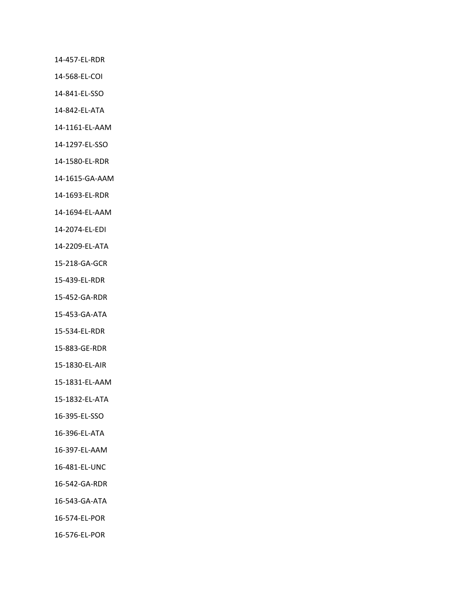‐457‐EL‐RDR

‐568‐EL‐COI

‐841‐EL‐SSO

‐842‐EL‐ATA

‐1161‐EL‐AAM

‐1297‐EL‐SSO

‐1580‐EL‐RDR

‐1615‐GA‐AAM

‐1693‐EL‐RDR

‐1694‐EL‐AAM

‐2074‐EL‐EDI

‐2209‐EL‐ATA

‐218‐GA‐GCR

‐439‐EL‐RDR

‐452‐GA‐RDR

‐453‐GA‐ATA

‐534‐EL‐RDR

‐883‐GE‐RDR

‐1830‐EL‐AIR

‐1831‐EL‐AAM

‐1832‐EL‐ATA

‐395‐EL‐SSO

‐396‐EL‐ATA

‐397‐EL‐AAM

‐481‐EL‐UNC

‐542‐GA‐RDR

‐543‐GA‐ATA

‐574‐EL‐POR

‐576‐EL‐POR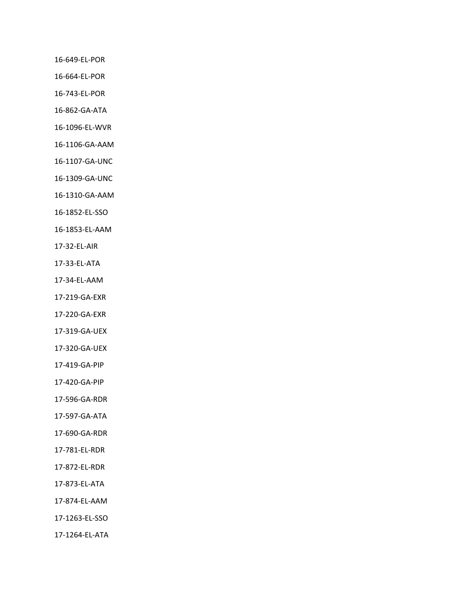‐649‐EL‐POR

‐664‐EL‐POR

‐743‐EL‐POR

‐862‐GA‐ATA

‐1096‐EL‐WVR

‐1106‐GA‐AAM

‐1107‐GA‐UNC

‐1309‐GA‐UNC

‐1310‐GA‐AAM

‐1852‐EL‐SSO

‐1853‐EL‐AAM

‐32‐EL‐AIR

‐33‐EL‐ATA

‐34‐EL‐AAM

‐219‐GA‐EXR

‐220‐GA‐EXR

‐319‐GA‐UEX

‐320‐GA‐UEX

‐419‐GA‐PIP

‐420‐GA‐PIP

‐596‐GA‐RDR

‐597‐GA‐ATA

‐690‐GA‐RDR

‐781‐EL‐RDR

‐872‐EL‐RDR

‐873‐EL‐ATA

‐874‐EL‐AAM

‐1263‐EL‐SSO

‐1264‐EL‐ATA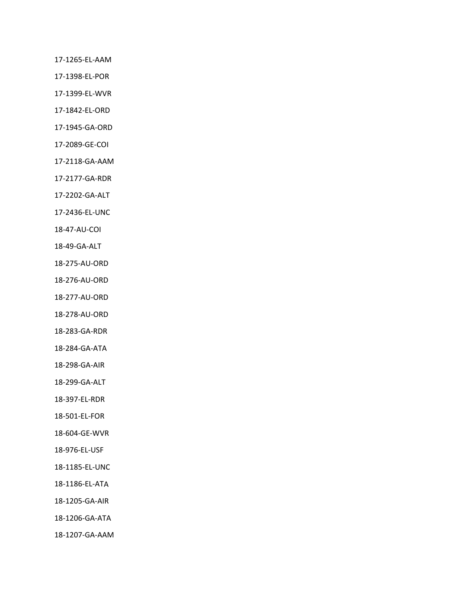‐1265‐EL‐AAM

‐1398‐EL‐POR

‐1399‐EL‐WVR

‐1842‐EL‐ORD

‐1945‐GA‐ORD

‐2089‐GE‐COI

‐2118‐GA‐AAM

‐2177‐GA‐RDR

‐2202‐GA‐ALT

‐2436‐EL‐UNC

‐47‐AU‐COI

‐49‐GA‐ALT

‐275‐AU‐ORD

‐276‐AU‐ORD

‐277‐AU‐ORD

‐278‐AU‐ORD

‐283‐GA‐RDR

‐284‐GA‐ATA

‐298‐GA‐AIR

‐299‐GA‐ALT

‐397‐EL‐RDR

‐501‐EL‐FOR

‐604‐GE‐WVR

‐976‐EL‐USF

‐1185‐EL‐UNC

‐1186‐EL‐ATA

‐1205‐GA‐AIR

‐1206‐GA‐ATA

‐1207‐GA‐AAM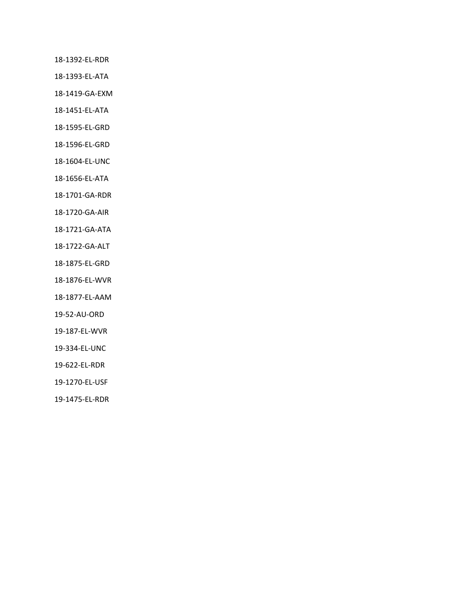‐1392‐EL‐RDR

‐1393‐EL‐ATA

‐1419‐GA‐EXM

‐1451‐EL‐ATA

‐1595‐EL‐GRD

‐1596‐EL‐GRD

‐1604‐EL‐UNC

‐1656‐EL‐ATA

‐1701‐GA‐RDR

‐1720‐GA‐AIR

‐1721‐GA‐ATA

‐1722‐GA‐ALT

‐1875‐EL‐GRD

‐1876‐EL‐WVR

‐1877‐EL‐AAM

‐52‐AU‐ORD

‐187‐EL‐WVR

‐334‐EL‐UNC

‐622‐EL‐RDR

‐1270‐EL‐USF

‐1475‐EL‐RDR